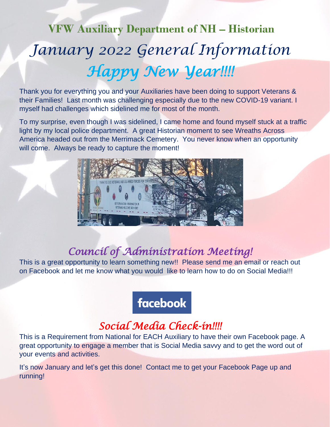# **VFW Auxiliary Department of NH – Historian** *January 2022 General Information Happy New Year!!!!*

Thank you for everything you and your Auxiliaries have been doing to support Veterans & their Families! Last month was challenging especially due to the new COVID-19 variant. I myself had challenges which sidelined me for most of the month.

To my surprise, even though I was sidelined, I came home and found myself stuck at a traffic light by my local police department. A great Historian moment to see Wreaths Across America headed out from the Merrimack Cemetery. You never know when an opportunity will come. Always be ready to capture the moment!



#### *Council of Administration Meeting!*

This is a great opportunity to learn something new!! Please send me an email or reach out on Facebook and let me know what you would like to learn how to do on Social Media!!!

#### **facebook**

#### *Social Media Check-in!!!!*

This is a Requirement from National for EACH Auxiliary to have their own Facebook page. A great opportunity to engage a member that is Social Media savvy and to get the word out of your events and activities.

It's now January and let's get this done! Contact me to get your Facebook Page up and running!